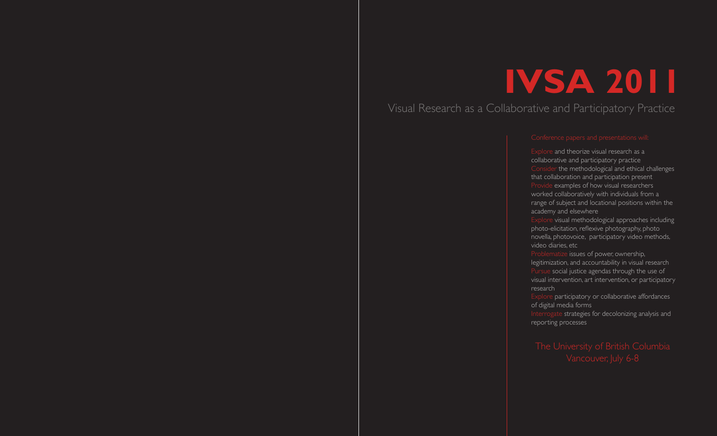# **IVSA 2011**

# Visual Research as a Collaborative and Participatory Practice

Explore and theorize visual research as a collaborative and participatory practice Consider the methodological and ethical challenges that collaboration and participation present Provide examples of how visual researchers worked collaboratively with individuals from a range of subject and locational positions within the academy and elsewhere

Explore visual methodological approaches including photo-elicitation, reflexive photography, photo novella, photovoice, participatory video methods, video diaries, etc

Problematize issues of power, ownership, legitimization, and accountability in visual research Pursue social justice agendas through the use of visual intervention, art intervention, or participatory research

Explore participatory or collaborative affordances of digital media forms

Interrogate strategies for decolonizing analysis and reporting processes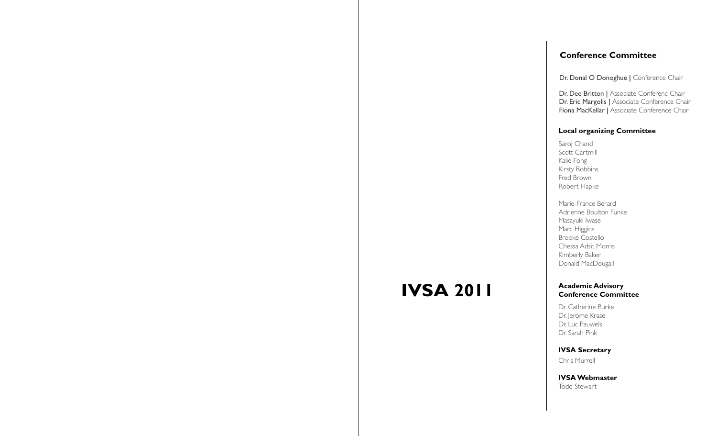## **Conference Committee**

Dr. Donal O Donoghue | Conference Chair

Dr. Dee Britton | Associate Conferenc Chair Dr. Eric Margolis | Associate Conference Chair Fiona MacKellar | Associate Conference Chair

### **Local organizing Committee**

Saroj Chand Scott Cartmill Kalie Fong Kirsty Robbins Fred Brown Robert Hapke

Marie-France Berard Adrienne Boulton Funke Masayuki Iwase Marc Higgins Brooke Costello Chessa Adsit Morris Kimberly Baker Donald MacDougall

#### **Academic Advisory Conference Committee**

Dr. Catherine Burke Dr. Jerome Krase Dr. Luc Pauwels Dr. Sarah Pink

**IVSA Secretary** 

Chris Murrell

**IVSA 2011**

**IVSA Webmaster** Todd Stewart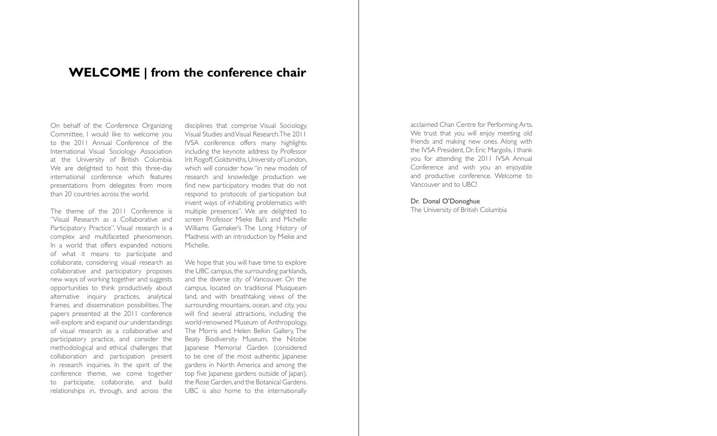## **WELCOME | from the conference chair**

On behalf of the Conference Organizing Committee, I would like to welcome you to the 2011 Annual Conference of the International Visual Sociology Association at the University of British Columbia. We are delighted to host this three-day international conference which features presentations from delegates from more than 20 countries across the world.

The theme of the 2011 Conference is "Visual Research as a Collaborative and Participatory Practice". Visual research is a complex and multifaceted phenomenon. In a world that offers expanded notions of what it means to participate and collaborate, considering visual research as collaborative and participatory proposes new ways of working together and suggests opportunities to think productively about alternative inquiry practices, analytical frames, and dissemination possibilities. The papers presented at the 2011 conference will explore and expand our understandings of visual research as a collaborative and participatory practice, and consider the methodological and ethical challenges that collaboration and participation present in research inquiries. In the spirit of the conference theme, we come together to participate, collaborate, and build relationships in, through, and across the

disciplines that comprise Visual Sociology, Visual Studies and Visual Research. The 2011 IVSA conference offers many highlights including the keynote address by Professor Irit Rogoff, Goldsmiths, University of London, which will consider how "in new models of research and knowledge production we find new participatory modes that do not respond to protocols of participation but invent ways of inhabiting problematics with multiple presences". We are delighted to screen Professor Mieke Bal's and Michelle Williams Gamaker's The Long History of Madness with an introduction by Mieke and Michelle.

We hope that you will have time to explore the UBC campus, the surrounding parklands, and the diverse city of Vancouver. On the campus, located on traditional Musqueam land, and with breathtaking views of the surrounding mountains, ocean, and city, you will find several attractions, including the world-renowned Museum of Anthropology, The Morris and Helen Belkin Gallery, The Beaty Biodiversity Museum, the Nitobe Japanese Memorial Garden (considered to be one of the most authentic Japanese gardens in North America and among the top five Japanese gardens outside of Japan), the Rose Garden, and the Botanical Gardens. UBC is also home to the internationally

acclaimed Chan Centre for Performing Arts. We trust that you will enjoy meeting old friends and making new ones. Along with the IVSA President, Dr. Eric Margolis, I thank you for attending the 2011 IVSA Annual Conference and wish you an enjoyable and productive conference. Welcome to Vancouver and to UBC!

Dr. Donal O'Donoghue The University of British Columbia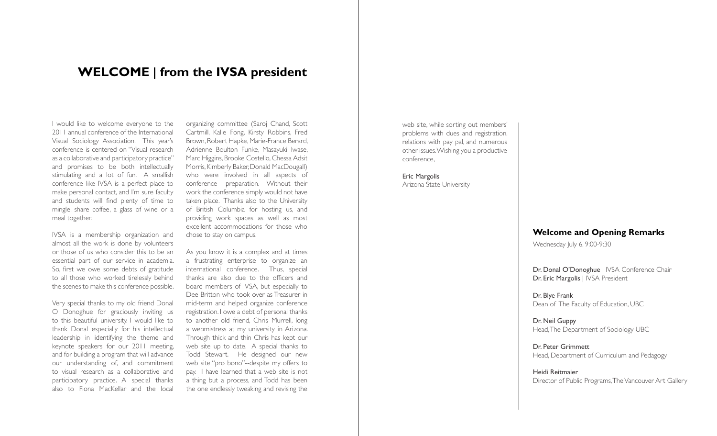## **WELCOME | from the IVSA president**

I would like to welcome everyone to the 2011 annual conference of the International Visual Sociology Association. This year's conference is centered on "Visual research as a collaborative and participatory practice" and promises to be both intellectually stimulating and a lot of fun. A smallish conference like IVSA is a perfect place to make personal contact, and I'm sure faculty and students will find plenty of time to mingle, share coffee, a glass of wine or a meal together.

IVSA is a membership organization and almost all the work is done by volunteers or those of us who consider this to be an essential part of our service in academia. So, first we owe some debts of gratitude to all those who worked tirelessly behind the scenes to make this conference possible.

Very special thanks to my old friend Donal O Donoghue for graciously inviting us to this beautiful university. I would like to thank Donal especially for his intellectual leadership in identifying the theme and keynote speakers for our 2011 meeting, and for building a program that will advance our understanding of, and commitment to visual research as a collaborative and participatory practice. A special thanks also to Fiona MacKellar and the local

organizing committee (Saroj Chand, Scott Cartmill, Kalie Fong, Kirsty Robbins, Fred Brown, Robert Hapke, Marie-France Berard, Adrienne Boulton Funke, Masayuki Iwase, Marc Higgins, Brooke Costello, Chessa Adsit Morris, Kimberly Baker, Donald MacDougall) who were involved in all aspects of conference preparation. Without their work the conference simply would not have taken place. Thanks also to the University of British Columbia for hosting us, and providing work spaces as well as most excellent accommodations for those who chose to stay on campus.

As you know it is a complex and at times a frustrating enterprise to organize an international conference. Thus, special thanks are also due to the officers and board members of IVSA, but especially to Dee Britton who took over as Treasurer in mid-term and helped organize conference registration. I owe a debt of personal thanks to another old friend, Chris Murrell, long a webmistress at my university in Arizona. Through thick and thin Chris has kept our web site up to date. A special thanks to Todd Stewart. He designed our new web site "pro bono"--despite my offers to pay. I have learned that a web site is not a thing but a process, and Todd has been the one endlessly tweaking and revising the web site, while sorting out members' problems with dues and registration, relations with pay pal, and numerous other issues. Wishing you a productive conference,

Eric Margolis Arizona State University

## **Welcome and Opening Remarks**

Wednesday July 6, 9:00-9:30

Dr. Donal O'Donoghue | IVSA Conference Chair Dr. Eric Margolis | IVSA President

Dr. Blye Frank Dean of The Faculty of Education, UBC

Dr. Neil Guppy Head, The Department of Sociology UBC

Dr. Peter Grimmett Head, Department of Curriculum and Pedagogy

Heidi Reitmaier Director of Public Programs, The Vancouver Art Gallery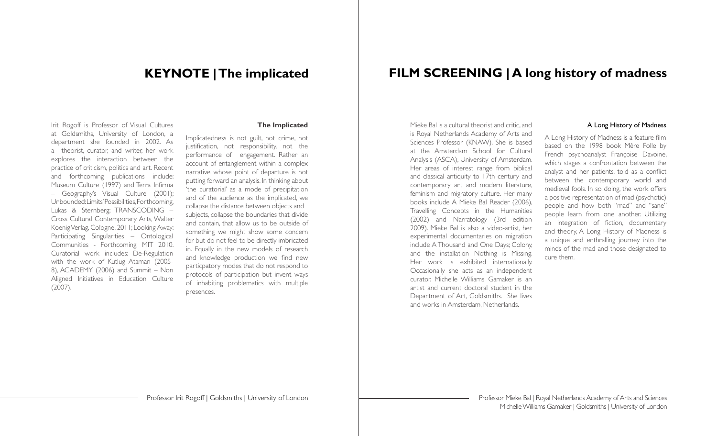## **KEYNOTE | The implicated**

Irit Rogoff is Professor of Visual Cultures at Goldsmiths, University of London, a department she founded in 2002. As a theorist, curator, and writer, her work explores the interaction between the practice of criticism, politics and art. Recent and forthcoming publications include: Museum Culture (1997) and Terra Infirma – Geography's Visual Culture (2001); Unbounded: Limits' Possibilities, Forthcoming, Lukas & Sternberg; TRANSCODING – Cross Cultural Contemporary Arts, Walter Koenig Verlag, Cologne, 2011; Looking Away: Participating Singularities – Ontological Communities - Forthcoming, MIT 2010. Curatorial work includes: De-Regulation with the work of Kutlug Ataman (2005- 8), ACADEMY (2006) and Summit – Non Aligned Initiatives in Education Culture (2007).

#### **The Implicated**

Implicatedness is not guilt, not crime, not justification, not responsibility, not the performance of engagement. Rather an account of entanglement within a complex narrative whose point of departure is not putting forward an analysis. In thinking about 'the curatorial' as a mode of precipitation and of the audience as the implicated, we collapse the distance between objects and subjects, collapse the boundaries that divide and contain, that allow us to be outside of something we might show some concern for but do not feel to be directly imbricated in. Equally in the new models of research and knowledge production we find new particpatory modes that do not respond to protocols of participation but invent ways of inhabiting problematics with multiple presences.

## **FILM SCREENING | A long history of madness**

Mieke Bal is a cultural theorist and critic, and is Royal Netherlands Academy of Arts and Sciences Professor (KNAW). She is based at the Amsterdam School for Cultural Analysis (ASCA), University of Amsterdam. Her areas of interest range from biblical and classical antiquity to 17th century and contemporary art and modern literature, feminism and migratory culture. Her many books include A Mieke Bal Reader (2006), Travelling Concepts in the Humanities (2002) and Narratology (3rd edition 2009). Mieke Bal is also a video-artist, her experimental documentaries on migration include A Thousand and One Days; Colony, and the installation Nothing is Missing. Her work is exhibited internationally. Occasionally she acts as an independent curator. Michelle Williams Gamaker is an artist and current doctoral student in the Department of Art, Goldsmiths. She lives and works in Amsterdam, Netherlands.

#### A Long History of Madness

A Long History of Madness is a feature film based on the 1998 book Mère Folle by French psychoanalyst Françoise Davoine, which stages a confrontation between the analyst and her patients, told as a conflict between the contemporary world and medieval fools. In so doing, the work offers a positive representation of mad (psychotic) people and how both "mad" and "sane" people learn from one another. Utilizing an integration of fiction, documentary and theory, A Long History of Madness is a unique and enthralling journey into the minds of the mad and those designated to cure them.

Professor Mieke Bal | Royal Netherlands Academy of Arts and Sciences Michelle Williams Gamaker | Goldsmiths | University of London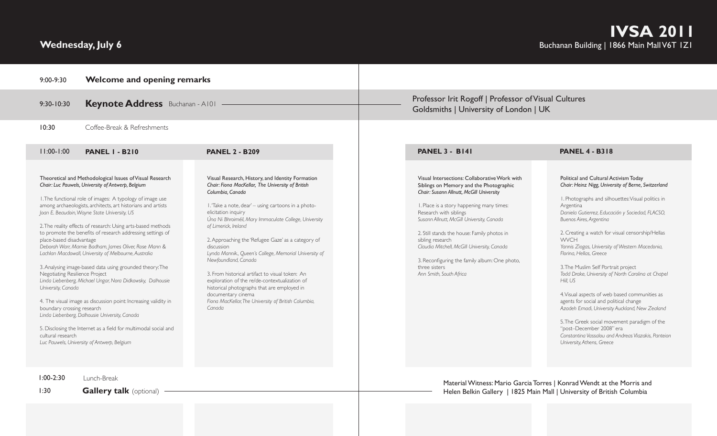# **Wednesday, July 6**

| 9:00-9:30                                                                                                                           | <b>Welcome and opening remarks</b>                                                                                                                                                                                                                                                                                                                                                                                                                                                                                                                                                                                                                                                                                                                                                                                                                                                                            |                                                                                                                                                                                                                                                                                                                                                                                                                                                                                                                                                                                                                                                                                          |                                                                                                                                                                                                                                                                                                                                                                                                                                                                         |                                                                                                                                                                                                                                                                                                                                                                                                                                                                                                                                                                                                                                                                                                                                                                                                                        |  |
|-------------------------------------------------------------------------------------------------------------------------------------|---------------------------------------------------------------------------------------------------------------------------------------------------------------------------------------------------------------------------------------------------------------------------------------------------------------------------------------------------------------------------------------------------------------------------------------------------------------------------------------------------------------------------------------------------------------------------------------------------------------------------------------------------------------------------------------------------------------------------------------------------------------------------------------------------------------------------------------------------------------------------------------------------------------|------------------------------------------------------------------------------------------------------------------------------------------------------------------------------------------------------------------------------------------------------------------------------------------------------------------------------------------------------------------------------------------------------------------------------------------------------------------------------------------------------------------------------------------------------------------------------------------------------------------------------------------------------------------------------------------|-------------------------------------------------------------------------------------------------------------------------------------------------------------------------------------------------------------------------------------------------------------------------------------------------------------------------------------------------------------------------------------------------------------------------------------------------------------------------|------------------------------------------------------------------------------------------------------------------------------------------------------------------------------------------------------------------------------------------------------------------------------------------------------------------------------------------------------------------------------------------------------------------------------------------------------------------------------------------------------------------------------------------------------------------------------------------------------------------------------------------------------------------------------------------------------------------------------------------------------------------------------------------------------------------------|--|
| $9:30 - 10:30$                                                                                                                      | <b>Keynote Address</b> Buchanan - A101 -                                                                                                                                                                                                                                                                                                                                                                                                                                                                                                                                                                                                                                                                                                                                                                                                                                                                      |                                                                                                                                                                                                                                                                                                                                                                                                                                                                                                                                                                                                                                                                                          | Professor Irit Rogoff   Professor of Visual Cultures<br>Goldsmiths   University of London   UK                                                                                                                                                                                                                                                                                                                                                                          |                                                                                                                                                                                                                                                                                                                                                                                                                                                                                                                                                                                                                                                                                                                                                                                                                        |  |
| 10:30                                                                                                                               | Coffee-Break & Refreshments                                                                                                                                                                                                                                                                                                                                                                                                                                                                                                                                                                                                                                                                                                                                                                                                                                                                                   |                                                                                                                                                                                                                                                                                                                                                                                                                                                                                                                                                                                                                                                                                          |                                                                                                                                                                                                                                                                                                                                                                                                                                                                         |                                                                                                                                                                                                                                                                                                                                                                                                                                                                                                                                                                                                                                                                                                                                                                                                                        |  |
| $11:00-1:00$                                                                                                                        | <b>PANEL I - B210</b>                                                                                                                                                                                                                                                                                                                                                                                                                                                                                                                                                                                                                                                                                                                                                                                                                                                                                         | <b>PANEL 2 - B209</b>                                                                                                                                                                                                                                                                                                                                                                                                                                                                                                                                                                                                                                                                    | <b>PANEL 3 - B141</b>                                                                                                                                                                                                                                                                                                                                                                                                                                                   | <b>PANEL 4 - B318</b>                                                                                                                                                                                                                                                                                                                                                                                                                                                                                                                                                                                                                                                                                                                                                                                                  |  |
| place-based disadvantage<br>Negotiating Resilience Project<br>University, Canada<br>boundary crossing research<br>cultural research | Theoretical and Methodological Issues of Visual Research<br>Chair: Luc Pauwels, University of Antwerp, Belgium<br>I. The functional role of images: A typology of image use<br>among archaeologists, architects, art historians and artists<br>Joan E. Beaudoin, Wayne State University, US<br>2. The reality effects of research: Using arts-based methods<br>to promote the benefits of research addressing settings of<br>Deborah Warr, Marnie Badham, James Oliver, Rose Mann &<br>Lachlan Macdowall, University of Melbourne, Australia<br>3. Analysing image-based data using grounded theory: The<br>Linda Liebenberg, Michael Ungar, Nora Didkowsky, Dalhousie<br>4. The visual image as discussion point: Increasing validity in<br>Linda Liebenberg, Dalhousie University, Canada<br>5. Disclosing the Internet as a field for multimodal social and<br>Luc Pauwels, University of Antwerp, Belgium | Visual Research, History, and Identity Formation<br>Chair: Fiona MacKellar, The University of British<br>Columbia, Canada<br>I. Take a note, dear' - using cartoons in a photo-<br>elicitation inquiry<br>Úna Ni Bhroiméil, Mary Immaculate College, University<br>of Limerick, Ireland<br>2. Approaching the 'Refugee Gaze' as a category of<br>discussion<br>Lynda Mannik., Queen's College, Memorial University of<br>Newfoundland, Canada<br>3. From historical artifact to visual token: An<br>exploration of the re/de-contextualization of<br>historical photographs that are employed in<br>documentary cinema<br>Fiona MacKellar, The University of British Columbia,<br>Canada | Visual Intersections: Collaborative Work with<br>Siblings on Memory and the Photographic<br>Chair: Susann Allnutt, McGill University<br>I. Place is a story happening many times:<br>Research with siblings<br>Susann Allnutt, McGill University, Canada<br>2. Still stands the house: Family photos in<br>sibling research<br>Claudia Mitchell, McGill University, Canada<br>3. Reconfiguring the family album: One photo,<br>three sisters<br>Ann Smith, South Africa | Political and Cultural Activism Today<br>Chair: Heinz Nigg, University of Berne, Switzerland<br>I. Photographs and silhouettes: Visual politics in<br>Argentina<br>Daniela Gutierrez, Educación y Sociedad, FLACSO,<br>Buenos Aires, Argentina<br>2. Creating a watch for visual censorship/Hellas<br><b>WVCH</b><br>Yannis Ziogas, University of Western Macedonia,<br>Floring, Hellas, Greece<br>3. The Muslim Self Portrait project<br>Todd Drake, University of North Carolina at Chapel<br>Hill, US<br>4. Visual aspects of web based communities as<br>agents for social and political change<br>Azadeh Emadi, University Auckland, New Zealand<br>5. The Greek social movement paradigm of the<br>"post-December 2008" era<br>Constanting Vassalou and Andreas Vlazakis, Panteion<br>University, Athens, Greece |  |
| $1:00-2:30$<br>1:30                                                                                                                 | Lunch-Break<br><b>Gallery talk</b> (optional)                                                                                                                                                                                                                                                                                                                                                                                                                                                                                                                                                                                                                                                                                                                                                                                                                                                                 |                                                                                                                                                                                                                                                                                                                                                                                                                                                                                                                                                                                                                                                                                          |                                                                                                                                                                                                                                                                                                                                                                                                                                                                         | Material Witness: Mario Garcia Torres   Konrad Wendt at the Morris and<br>Helen Belkin Gallery   1825 Main Mall   University of British Columbia                                                                                                                                                                                                                                                                                                                                                                                                                                                                                                                                                                                                                                                                       |  |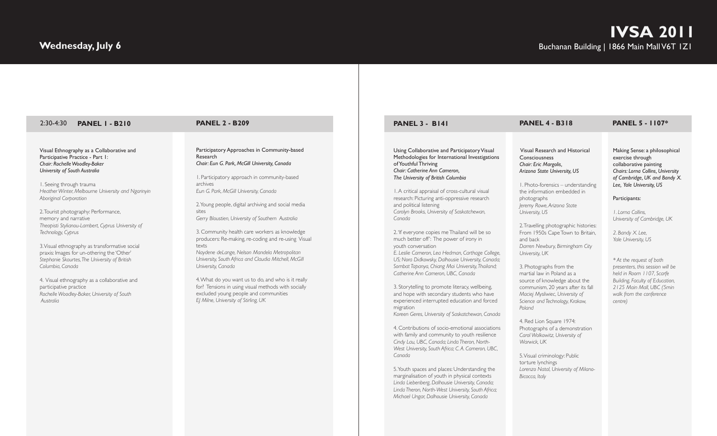| <b>PANEL I - B210</b><br>$2:30-4:30$                                                                                                                                                                                                                                                                                                                                                                                                                                                                                                                                                                                                                                                                              | <b>PANEL 2 - B209</b>                                                                                                                                                                                                                                                                                                                                                                                                                                                                                                                                                                                                                                                                                                                                                             | <b>PANEL 3 - B141</b>                                                                                                                                                                                                                                                                                                                                                                                                                                                                                                                                                                                                                                                                                                                                                                                                                                                                                                                                                                                                                                                                                                                                                                                                                                                                                                                                                                                    | <b>PANEL 4 - B318</b>                                                                                                                                                                                                                                                                                                                                                                                                                                                                                                                                                                                                                                                                                                                                                                                                                     |
|-------------------------------------------------------------------------------------------------------------------------------------------------------------------------------------------------------------------------------------------------------------------------------------------------------------------------------------------------------------------------------------------------------------------------------------------------------------------------------------------------------------------------------------------------------------------------------------------------------------------------------------------------------------------------------------------------------------------|-----------------------------------------------------------------------------------------------------------------------------------------------------------------------------------------------------------------------------------------------------------------------------------------------------------------------------------------------------------------------------------------------------------------------------------------------------------------------------------------------------------------------------------------------------------------------------------------------------------------------------------------------------------------------------------------------------------------------------------------------------------------------------------|----------------------------------------------------------------------------------------------------------------------------------------------------------------------------------------------------------------------------------------------------------------------------------------------------------------------------------------------------------------------------------------------------------------------------------------------------------------------------------------------------------------------------------------------------------------------------------------------------------------------------------------------------------------------------------------------------------------------------------------------------------------------------------------------------------------------------------------------------------------------------------------------------------------------------------------------------------------------------------------------------------------------------------------------------------------------------------------------------------------------------------------------------------------------------------------------------------------------------------------------------------------------------------------------------------------------------------------------------------------------------------------------------------|-------------------------------------------------------------------------------------------------------------------------------------------------------------------------------------------------------------------------------------------------------------------------------------------------------------------------------------------------------------------------------------------------------------------------------------------------------------------------------------------------------------------------------------------------------------------------------------------------------------------------------------------------------------------------------------------------------------------------------------------------------------------------------------------------------------------------------------------|
| Visual Ethnography as a Collaborative and<br>Participative Practice - Part I:<br>Chair: Rochelle Woodley-Baker<br>University of South Australia<br>I. Seeing through trauma<br>Heather Winter, Melbourne University and Ngarinyin<br>Aboriginal Corporation<br>2. Tourist photography: Performance,<br>memory and narrative<br>Theopisti Stylianou-Lambert, Cyprus University of<br>Technology, Cyprus<br>3. Visual ethnography as transformative social<br>praxis: Images for un-othering the 'Other'<br>Stephanie Skourtes, The University of British<br>Columbia. Canada<br>4. Visual ethnography as a collaborative and<br>participative practice<br>Rochelle Woodley-Baker, University of South<br>Australia | Participatory Approaches in Community-based<br>Research<br>Chair: Eun G. Park, McGill University, Canada<br>I. Participatory approach in community-based<br>archives<br>Eun G. Park, McGill University, Canada<br>2. Young people, digital archiving and social media<br>sites<br>Gerry Bloustien, University of Southern Australia<br>3. Community health care workers as knowledge<br>producers: Re-making, re-coding and re-using Visual<br>texts<br>Naydene deLange, Nelson Mandela Metropolitan<br>University, South Africa and Claudia Mitchell, McGill<br>University, Canada<br>4. What do you want us to do, and who is it really<br>for? Tensions in using visual methods with socially<br>excluded young people and communities<br>EJ Milne, University of Stirling, UK | Using Collaborative and Participatory Visual<br>Methodologies for International Investigations<br>of Youthful Thriving<br>Chair: Catherine Ann Cameron,<br>The University of British Columbia<br>I. A critical appraisal of cross-cultural visual<br>research: Picturing anti-oppressive research<br>and political listening<br>Carolyn Brooks, University of Saskatchewan,<br>Canada<br>2. If everyone copies me Thailand will be so<br>much better off': The power of irony in<br>youth conversation<br>E. Leslie Cameron, Lea Hedman, Carthage College,<br>US; Nora Didkowsky, Dalhousie University, Canada;<br>Sombat Tapanya, Chiang Mai University, Thailand;<br>Catherine Ann Cameron, UBC, Canada<br>3. Storytelling to promote literacy, wellbeing,<br>and hope with secondary students who have<br>experienced interrupted education and forced<br>migration<br>Koreen Geres, University of Saskatchewan, Canada<br>4. Contributions of socio-emotional associations<br>with family and community to youth resilience<br>Cindy Lau, UBC, Canada; Linda Theron, North-<br>West University, South Africa; C.A. Cameron, UBC,<br>Canada<br>5. Youth spaces and places: Understanding the<br>marginalisation of youth in physical contexts<br>Linda Liebenberg, Dalhousie University, Canada;<br>Linda Theron, North-West University, South Africa;<br>Michael Ungar, Dalhousie University, Canada | Visual Research and Historical<br>Consciousness<br>Chair: Eric Margolis,<br>Arizona State University, US<br>I. Photo-forensics - understanding<br>the information embedded in<br>photographs<br>Jeremy Rowe, Arizona State<br>University, US<br>2. Travelling photographic histories:<br>From 1950s Cape Town to Britain,<br>and back<br>Darren Newbury, Birmingham City<br>University, UK<br>3. Photographs from the<br>martial law in Poland as a<br>source of knowledge about the<br>communism, 20 years after its fall<br>Maciej Mysliwiec, University of<br>Science and Technology, Krakow,<br>Poland<br>4. Red Lion Square 1974:<br>Photographs of a demonstration<br>Carol Wolkowitz, University of<br>Warwick, UK<br>5. Visual criminology: Public<br>torture lynchings<br>Lorenzo Natal, University of Milano-<br>Bicocca, Italy |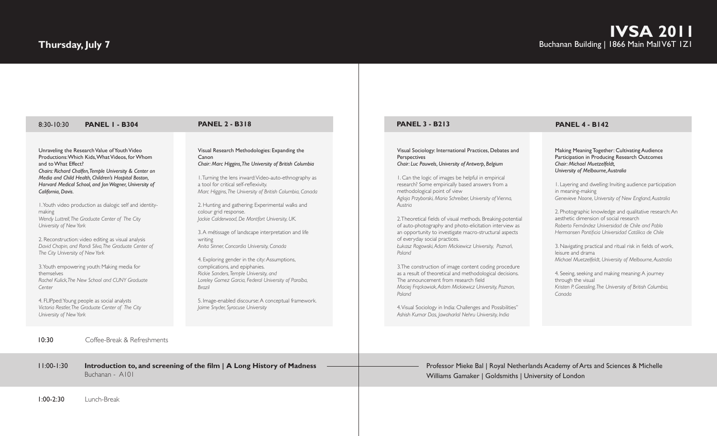## **Thursday, July 7**

**PANEL 1 - B304 PANEL 2 - B318** 8:30-10:30

Unraveling the Research Value of Youth Video Productions: Which Kids, What Videos, for Whom and to What Effect? *Chairs: Richard Chalfen, Temple University & Center on Media and Child Health, Children's Hospital Boston, Harvard Medical School, and Jon Wagner, University of California, Davis.*

1. Youth video production as dialogic self and identitymaking *Wendy Luttrell, The Graduate Center of The City University of New York*

2. Reconstruction: video editing as visual analysis *David Chapin, and Rondi Silva, The Graduate Center of The City University of New York*

3. Youth empowering youth: Making media for themselves *Rachel Kulick,The New School and CUNY Graduate Center* 

4. FLIPped: Young people as social analysts *Victoria Restler, The Graduate Center of The City University of New York*

Visual Research Methodologies: Expanding the Canon *Chair: Marc Higgins, The University of British Columbia*

1. Turning the lens inward: Video-auto-ethnography as a tool for critical self-reflexivity. *Marc Higgins, The University of British Columbia, Canada*

2. Hunting and gathering: Experimental walks and colour grid response. *Jackie Calderwood, De Montfort University, UK.*

3. A métissage of landscape interpretation and life writing *Anita Sinner, Concordia University, Canada*

4. Exploring gender in the city: Assumptions, complications, and epiphanies. *Rickie Sanders, Temple University, and Loreley Gomez Garcia, Federal University of Paraíba, Brazil*

5. Image-enabled discourse: A conceptual framework. *Jaime Snyder, Syracuse University*

#### **PANEL 3 - B213 PANEL 4 - B142**

Visual Sociology: International Practices, Debates and Perspectives *Chair: Luc Pauwels, University of Antwerp, Belgium*

1. Can the logic of images be helpful in empirical research? Some empirically based answers from a methodological point of view *Aglaja Przyborski, Maria Schreiber, University of Vienna, Austria*

2. Theoretical fields of visual methods. Breaking-potential of auto-photography and photo-elicitation interview as an opportunity to investigate macro-structural aspects of everyday social practices. *Łukasz Rogowski, Adam Mickiewicz University, Poznań, Poland*

3.The construction of image content coding procedure as a result of theoretical and methodological decisions. The announcement from research field *Maciej Frąckowiak, Adam Mickiewicz University, Poznan, Poland*

4. Visual Sociology in India: Challenges and Possibilities" *Ashish Kumar Das, Jawaharlal Nehru University, India*

Making Meaning Together: Cultivating Audience Participation in Producing Research Outcomes *Chair: Michael Muetzelfeldt, University of Melbourne, Australia* 

1. Layering and dwelling: Inviting audience participation in meaning-making *Genevieve Noone, University of New England, Australia*

2. Photographic knowledge and qualitative research: An aesthetic dimension of social research *Roberto Fernández Universidad de Chile and Pablo Hermansen Pontificia Universidad Católica de Chile*

3. Navigating practical and ritual risk in fields of work, leisure and drama *Michael Muetzelfeldt, University of Melbourne, Australia*

4. Seeing, seeking and making meaning: A journey through the visual *Kristen P. Goessling, The University of British Columbia, Canada*

10:30 Coffee-Break & Refreshments

11:00-1:30 **Introduction to, and screening of the film | A Long History of Madness** Professor Mieke Bal | Royal Netherlands Academy of Arts and Sciences & Michelle Buchanan - A101

1:00-2:30 Lunch-Break

Williams Gamaker | Goldsmiths | University of London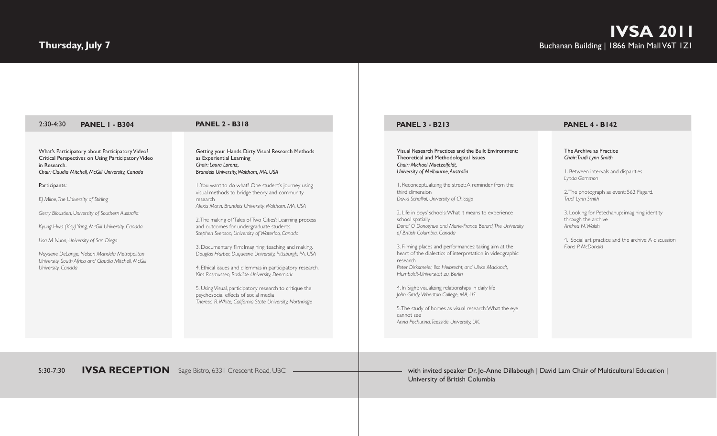# **Thursday, July 7**

| $2:30-4:30$<br><b>PANEL I - B304</b>                                                                                                                                                                                                                                                                                                                                                                                                                                                                                 | <b>PANEL 2 - B318</b>                                                                                                                                                                                                                                                                                                                                                                                                                                                                                                                                                                                                                                                                                                                                                                                                                                                               | <b>PANEL 3 - B213</b>                                                                                                                                                                                                                                                                                                                                                                                                                                                                                                                                                                                                                                                                                                                                                                                                                                                                                             | <b>PANEL 4 - B142</b>                                                                                                                                                                                                                                                                                                                              |
|----------------------------------------------------------------------------------------------------------------------------------------------------------------------------------------------------------------------------------------------------------------------------------------------------------------------------------------------------------------------------------------------------------------------------------------------------------------------------------------------------------------------|-------------------------------------------------------------------------------------------------------------------------------------------------------------------------------------------------------------------------------------------------------------------------------------------------------------------------------------------------------------------------------------------------------------------------------------------------------------------------------------------------------------------------------------------------------------------------------------------------------------------------------------------------------------------------------------------------------------------------------------------------------------------------------------------------------------------------------------------------------------------------------------|-------------------------------------------------------------------------------------------------------------------------------------------------------------------------------------------------------------------------------------------------------------------------------------------------------------------------------------------------------------------------------------------------------------------------------------------------------------------------------------------------------------------------------------------------------------------------------------------------------------------------------------------------------------------------------------------------------------------------------------------------------------------------------------------------------------------------------------------------------------------------------------------------------------------|----------------------------------------------------------------------------------------------------------------------------------------------------------------------------------------------------------------------------------------------------------------------------------------------------------------------------------------------------|
| What's Participatory about Participatory Video?<br>Critical Perspectives on Using Participatory Video<br>in Research.<br>Chair: Claudia Mitchell, McGill University, Canada<br>Participants:<br>EJ Milne, The University of Stirling<br>Gerry Bloustien, University of Southern Australia.<br>Kyung-Hwa (Kay) Yang, McGill University, Canada<br>Lisa M Nunn, University of San Diego<br>Naydene DeLange, Nelson Mandela Metropolitan<br>University, South Africa and Claudia Mitchell, McGill<br>University. Canada | Getting your Hands Dirty: Visual Research Methods<br>as Experiential Learning<br>Chair: Laura Lorenz,<br>Brandeis University, Waltham, MA, USA<br>I. You want to do what? One student's journey using<br>visual methods to bridge theory and community<br>research<br>Alexis Mann, Brandeis University, Waltham, MA, USA<br>2. The making of 'Tales of Two Cities': Learning process<br>and outcomes for undergraduate students.<br>Stephen Svenson, University of Waterloo, Canada<br>3. Documentary film: Imagining, teaching and making.<br>Douglas Harper, Duguesne University, Pittsburgh, PA, USA<br>4. Ethical issues and dilemmas in participatory research.<br>Kim Rasmussen, Roskilde University, Denmark<br>5. Using Visual, participatory research to critique the<br>psychosocial effects of social media<br>Theresa R. White, California State University, Northridge | Visual Research Practices and the Built Environment:<br>Theoretical and Methodological Issues<br>Chair: Michael Muetzelfeldt,<br>University of Melbourne, Australia<br>I. Reconceptualizing the street: A reminder from the<br>third dimension<br>David Schalliol, University of Chicago<br>2. Life in boys' schools: What it means to experience<br>school spatially<br>Donal O Donoghue and Marie-France Berard, The University<br>of British Columbia, Canada<br>3. Filming places and performances: taking aim at the<br>heart of the dialectics of interpretation in videographic<br>research<br>Peter Dirksmeier. Ilsc Helbrecht, and Ulrke Mackrodt.<br>Humboldt-Universität zu. Berlin<br>4. In Sight: visualizing relationships in daily life<br>John Grady, Wheaton College, MA, US<br>5. The study of homes as visual research: What the eye<br>cannot see<br>Anna Pechurina, Teesside University, UK. | The Archive as Practice<br>Chair: Trudi Lynn Smith<br>I. Between intervals and disparities<br>Lynda Gammon<br>2. The photograph as event: 562 Fisgard.<br>Trudi Lynn Smith<br>3. Looking for Petechanup: imagining identity<br>through the archive<br>Andrea N. Walsh<br>4. Social art practice and the archive: A discussion<br>Fiona P. McDonald |

5:30-7:30 **IVSA RECEPTION** Sage Bistro, 6331 Crescent Road, UBC

with invited speaker Dr. Jo-Anne Dillabough | David Lam Chair of Multicultural Education | University of British Columbia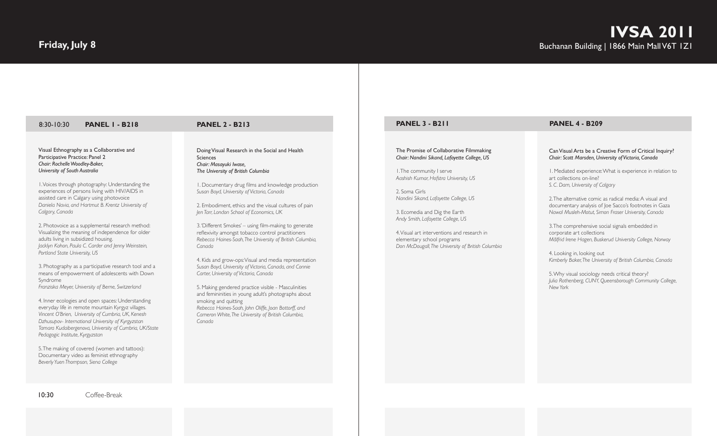5. The making of covered (women and tattoos): Documentary video as feminist ethnography *Beverly Yuen Thompson, Siena College*

*Pedagogic Institute, Kyrgyzstan*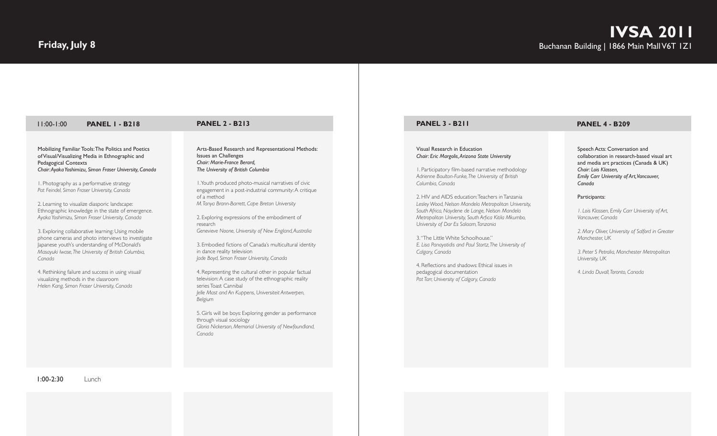| <b>PANEL 3 - B211</b>                                                                                                                                                                                                                                                                                                                                                                                                                                                                                                                                                                                                                                                                                                  |
|------------------------------------------------------------------------------------------------------------------------------------------------------------------------------------------------------------------------------------------------------------------------------------------------------------------------------------------------------------------------------------------------------------------------------------------------------------------------------------------------------------------------------------------------------------------------------------------------------------------------------------------------------------------------------------------------------------------------|
| Visual Research in Education<br>Chair: Eric Margolis, Arizona State University<br>I. Participatory film-based narrative methodology<br>Adrienne Boulton-Funke, The University of British<br>Columbia, Canada<br>2. HIV and AIDS education: Teachers in Tanzania<br>Lesley Wood, Nelson Mandela Metropolitan University,<br>South Africa, Naydene de Lange, Nelson Mandela<br>Metropolitan University, South Arfica Kitila Mkumbo,<br>University of Dar Es Salaam, Tanzania<br>3. "The Little White Schoolhouse."<br>E. Lisa Panayotidis and Paul Stortz, The University of<br>Calgary, Canada<br>4. Reflections and shadows: Ethical issues in<br>pedagogical documentation<br>Pat Tarr, University of Calgary, Canada |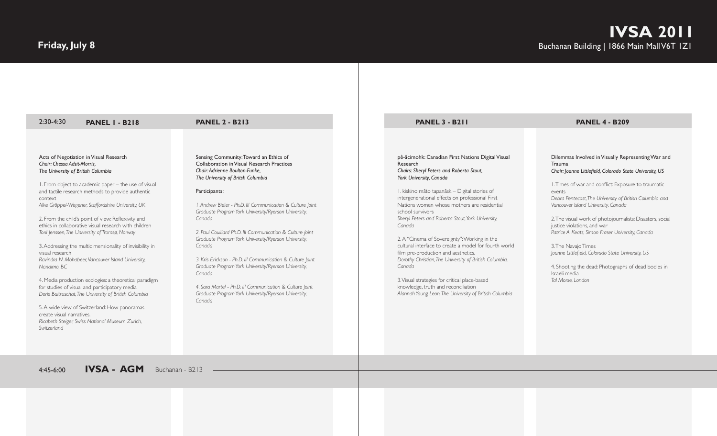# **Friday, July 8**

| $2:30-4:30$<br><b>PANEL I - B218</b>                                                                                                                                                                                                                                                                                                                                                                                                                                                                                                                                                                                                                                                                                                                                                                                                                                                                                              | <b>PANEL 2 - B213</b>                                                                                                                                                                                                                                                                                                                                                                                                                                                                                                                                                                                                                                                                                     | <b>PANEL 3 - B211</b>                                                                                                                                                                                                                                                                                                                                                                                                                                                                                                                                                                                                                                                                                                                            | <b>PANEL 4 - B209</b>                                                                                                                                                                                                                                                                                                                                                                                                                                                                                                                                                                                                 |
|-----------------------------------------------------------------------------------------------------------------------------------------------------------------------------------------------------------------------------------------------------------------------------------------------------------------------------------------------------------------------------------------------------------------------------------------------------------------------------------------------------------------------------------------------------------------------------------------------------------------------------------------------------------------------------------------------------------------------------------------------------------------------------------------------------------------------------------------------------------------------------------------------------------------------------------|-----------------------------------------------------------------------------------------------------------------------------------------------------------------------------------------------------------------------------------------------------------------------------------------------------------------------------------------------------------------------------------------------------------------------------------------------------------------------------------------------------------------------------------------------------------------------------------------------------------------------------------------------------------------------------------------------------------|--------------------------------------------------------------------------------------------------------------------------------------------------------------------------------------------------------------------------------------------------------------------------------------------------------------------------------------------------------------------------------------------------------------------------------------------------------------------------------------------------------------------------------------------------------------------------------------------------------------------------------------------------------------------------------------------------------------------------------------------------|-----------------------------------------------------------------------------------------------------------------------------------------------------------------------------------------------------------------------------------------------------------------------------------------------------------------------------------------------------------------------------------------------------------------------------------------------------------------------------------------------------------------------------------------------------------------------------------------------------------------------|
| Acts of Negotiation in Visual Research<br>Chair: Chessa Adsit-Morris.<br>The University of British Columbia<br>I. From object to academic paper - the use of visual<br>and tactile research methods to provide authentic<br>context<br>Alke Gröppel-Wegener, Staffordshire University, UK<br>2. From the child's point of view: Reflexivity and<br>ethics in collaborative visual research with children<br>Toril Jenssen, The University of Tromsø, Norway<br>3. Addressing the multidimensionality of invisibility in<br>visual research<br>Ravindra N. Mohabeer, Vancouver Island University,<br>Nanaimo, BC<br>4. Media production ecologies: a theoretical paradigm<br>for studies of visual and participatory media<br>Doris Baltruschat, The University of British Columbia<br>5. A wide view of Switzerland: How panoramas<br>create visual narratives.<br>Ricabeth Steiger, Swiss National Museum Zurich,<br>Switzerland | Sensing Community: Toward an Ethics of<br>Collaboration in Visual Research Practices<br>Chair: Adrienne Boulton-Funke.<br>The University of Britsh Columbia<br>Participants:<br>I. Andrew Bieler - Ph.D. III Communication & Culture Joint<br>Graduate Program York University/Ryerson University,<br>Canada<br>2. Paul Couillard Ph.D. III Communication & Culture Joint<br>Graduate Program York University/Ryerson University,<br>Canada<br>3. Kris Erickson - Ph.D. III Communication & Culture Joint<br>Graduate Program York University/Ryerson University,<br>Canada<br>4. Sara Martel - Ph.D. III Communication & Culture Joint<br>Graduate Program York University/Ryerson University,<br>Canada | pê-âcimohk: Canadian First Nations Digital Visual<br>Research<br>Chairs: Sheryl Peters and Roberta Stout,<br>York University, Canada<br>I, kiskino mâto tapanâsk - Digital stories of<br>intergenerational effects on professional First<br>Nations women whose mothers are residential<br>school survivors<br>Sheryl Peters and Roberta Stout, York University,<br>Canada<br>2. A "Cinema of Sovereignty": Working in the<br>cultural interface to create a model for fourth world<br>film pre-production and aesthetics.<br>Dorothy Christian, The University of British Columbia,<br>Canada<br>3. Visual strategies for critical place-based<br>knowledge, truth and reconciliation<br>Alannah Young Leon, The University of British Columbia | Dilemmas Involved in Visually Representing War and<br>Trauma<br>Chair: Joanne Littlefield, Colorado State University, US<br>I. Times of war and conflict: Exposure to traumatic<br>events<br>Debra Pentecost, The University of British Columbia and<br>Vancouver Island University, Canada<br>2. The visual work of photojournalists: Disasters, social<br>justice violations, and war<br>Patrice A. Keats, Simon Fraser University, Canada<br>3. The Navajo Times<br>Joanne Littlefield, Colorado State University, US<br>4. Shooting the dead: Photographs of dead bodies in<br>Israeli media<br>Tal Morse, London |

4:45-6:00 **IVSA - AGM** Buchanan - B213